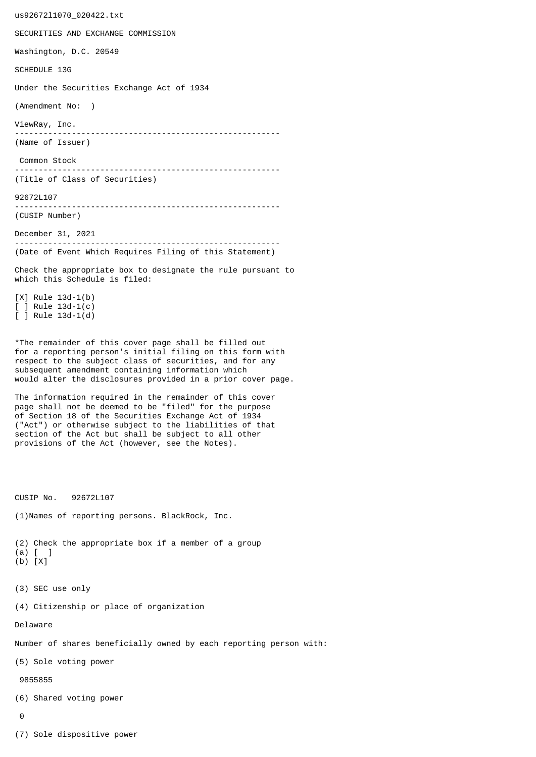us92672l1070\_020422.txt SECURITIES AND EXCHANGE COMMISSION Washington, D.C. 20549 SCHEDULE 13G Under the Securities Exchange Act of 1934 (Amendment No: ) ViewRay, Inc. -------------------------------------------------------- (Name of Issuer) Common Stock -------------------------------------------------------- (Title of Class of Securities) 92672L107 -------------------------------------------------------- (CUSIP Number) December 31, 2021 -------------------------------------------------------- (Date of Event Which Requires Filing of this Statement) Check the appropriate box to designate the rule pursuant to which this Schedule is filed: [X] Rule 13d-1(b) [ ] Rule 13d-1(c) [ ] Rule 13d-1(d) \*The remainder of this cover page shall be filled out for a reporting person's initial filing on this form with respect to the subject class of securities, and for any subsequent amendment containing information which would alter the disclosures provided in a prior cover page. The information required in the remainder of this cover page shall not be deemed to be "filed" for the purpose of Section 18 of the Securities Exchange Act of 1934 ("Act") or otherwise subject to the liabilities of that section of the Act but shall be subject to all other provisions of the Act (however, see the Notes). CUSIP No. 92672L107 (1)Names of reporting persons. BlackRock, Inc. (2) Check the appropriate box if a member of a group (a) [ ] (b) [X] (3) SEC use only (4) Citizenship or place of organization Delaware Number of shares beneficially owned by each reporting person with: (5) Sole voting power 9855855 (6) Shared voting power  $\Omega$ 

(7) Sole dispositive power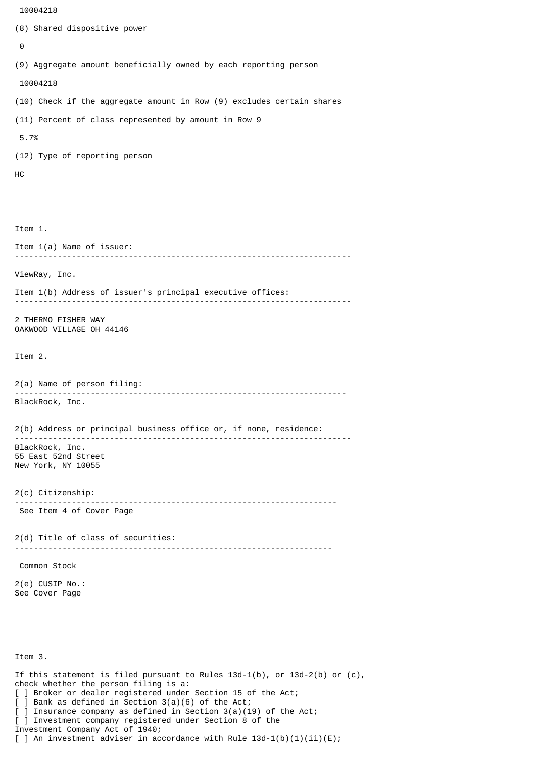```
 10004218
(8) Shared dispositive power
 \boldsymbol{\Theta}(9) Aggregate amount beneficially owned by each reporting person
  10004218
(10) Check if the aggregate amount in Row (9) excludes certain shares
(11) Percent of class represented by amount in Row 9
 5.7%
(12) Type of reporting person
HC
Item 1.
Item 1(a) Name of issuer:
            -----------------------------------------------------------------------
ViewRay, Inc.
Item 1(b) Address of issuer's principal executive offices:
 -----------------------------------------------------------------------
2 THERMO FISHER WAY
OAKWOOD VILLAGE OH 44146
Item 2.
2(a) Name of person filing:
               ----------------------------------------------------------------------
BlackRock, Inc.
2(b) Address or principal business office or, if none, residence:
 -----------------------------------------------------------------------
BlackRock, Inc.
55 East 52nd Street
New York, NY 10055
2(c) Citizenship:
                            --------------------------------------------------------------------
 See Item 4 of Cover Page
2(d) Title of class of securities:
                                       -------------------------------------------------------------------
 Common Stock
2(e) CUSIP No.:
See Cover Page
Item 3.
If this statement is filed pursuant to Rules 13d-1(b), or 13d-2(b) or (c),
check whether the person filing is a:
```
- [ ] Broker or dealer registered under Section 15 of the Act;
- [ ] Bank as defined in Section 3(a)(6) of the Act;
- ] Insurance company as defined in Section  $3(a)(19)$  of the Act;
- [ ] Investment company registered under Section 8 of the
- Investment Company Act of 1940;
- [ ] An investment adviser in accordance with Rule  $13d-1(b)(1)(ii)(E)$ ;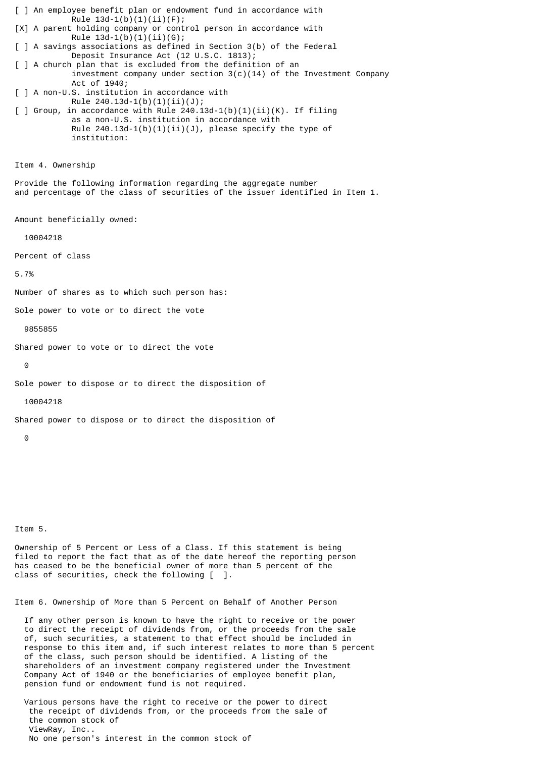[ ] An employee benefit plan or endowment fund in accordance with Rule  $13d-1(b)(1)(ii)(F);$ [X] A parent holding company or control person in accordance with Rule  $13d-1(b)(1)(ii)(G);$ [ ] A savings associations as defined in Section 3(b) of the Federal Deposit Insurance Act (12 U.S.C. 1813); [ ] A church plan that is excluded from the definition of an investment company under section  $3(c)(14)$  of the Investment Company Act of 1940; [ ] A non-U.S. institution in accordance with Rule 240.13d-1(b)(1)(ii)(J);  $\lceil$  ] Group, in accordance with Rule 240.13d-1(b)(1)(ii)(K). If filing as a non-U.S. institution in accordance with Rule  $240.13d-1(b)(1)(ii)(J)$ , please specify the type of institution: Item 4. Ownership Provide the following information regarding the aggregate number and percentage of the class of securities of the issuer identified in Item 1. Amount beneficially owned: 10004218 Percent of class 5.7% Number of shares as to which such person has: Sole power to vote or to direct the vote 9855855 Shared power to vote or to direct the vote  $\Theta$ Sole power to dispose or to direct the disposition of 10004218 Shared power to dispose or to direct the disposition of  $\Omega$ 

Item 5.

Ownership of 5 Percent or Less of a Class. If this statement is being filed to report the fact that as of the date hereof the reporting person has ceased to be the beneficial owner of more than 5 percent of the class of securities, check the following [ ].

Item 6. Ownership of More than 5 Percent on Behalf of Another Person

 If any other person is known to have the right to receive or the power to direct the receipt of dividends from, or the proceeds from the sale of, such securities, a statement to that effect should be included in response to this item and, if such interest relates to more than 5 percent of the class, such person should be identified. A listing of the shareholders of an investment company registered under the Investment Company Act of 1940 or the beneficiaries of employee benefit plan, pension fund or endowment fund is not required.

 Various persons have the right to receive or the power to direct the receipt of dividends from, or the proceeds from the sale of the common stock of ViewRay, Inc.. No one person's interest in the common stock of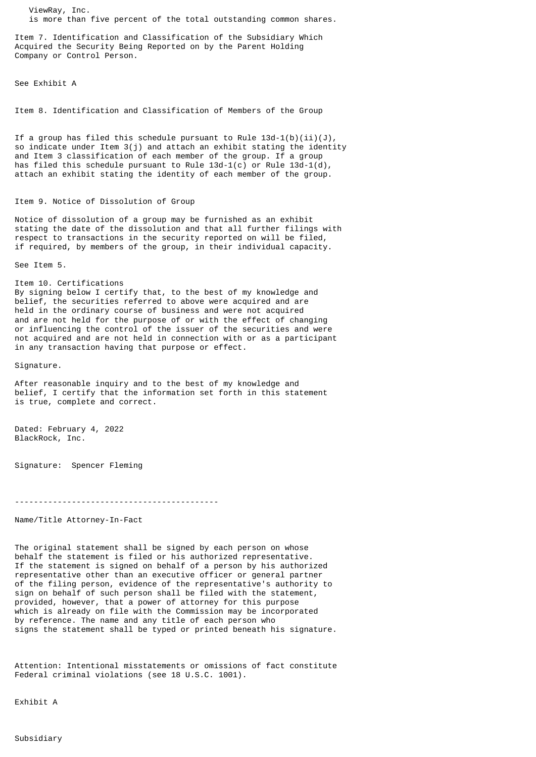ViewRay, Inc. is more than five percent of the total outstanding common shares.

Item 7. Identification and Classification of the Subsidiary Which Acquired the Security Being Reported on by the Parent Holding Company or Control Person.

See Exhibit A

Item 8. Identification and Classification of Members of the Group

If a group has filed this schedule pursuant to Rule  $13d-1(b)(ii)(J)$ , so indicate under Item 3(j) and attach an exhibit stating the identity and Item 3 classification of each member of the group. If a group has filed this schedule pursuant to Rule  $13d-1(c)$  or Rule  $13d-1(d)$ , attach an exhibit stating the identity of each member of the group.

## Item 9. Notice of Dissolution of Group

Notice of dissolution of a group may be furnished as an exhibit stating the date of the dissolution and that all further filings with respect to transactions in the security reported on will be filed, if required, by members of the group, in their individual capacity.

See Item 5.

Item 10. Certifications By signing below I certify that, to the best of my knowledge and belief, the securities referred to above were acquired and are held in the ordinary course of business and were not acquired and are not held for the purpose of or with the effect of changing or influencing the control of the issuer of the securities and were not acquired and are not held in connection with or as a participant in any transaction having that purpose or effect.

Signature.

After reasonable inquiry and to the best of my knowledge and belief, I certify that the information set forth in this statement is true, complete and correct.

Dated: February 4, 2022 BlackRock, Inc.

Signature: Spencer Fleming

-------------------------------------------

Name/Title Attorney-In-Fact

The original statement shall be signed by each person on whose behalf the statement is filed or his authorized representative. If the statement is signed on behalf of a person by his authorized representative other than an executive officer or general partner of the filing person, evidence of the representative's authority to sign on behalf of such person shall be filed with the statement, provided, however, that a power of attorney for this purpose which is already on file with the Commission may be incorporated by reference. The name and any title of each person who signs the statement shall be typed or printed beneath his signature.

Attention: Intentional misstatements or omissions of fact constitute Federal criminal violations (see 18 U.S.C. 1001).

Exhibit A